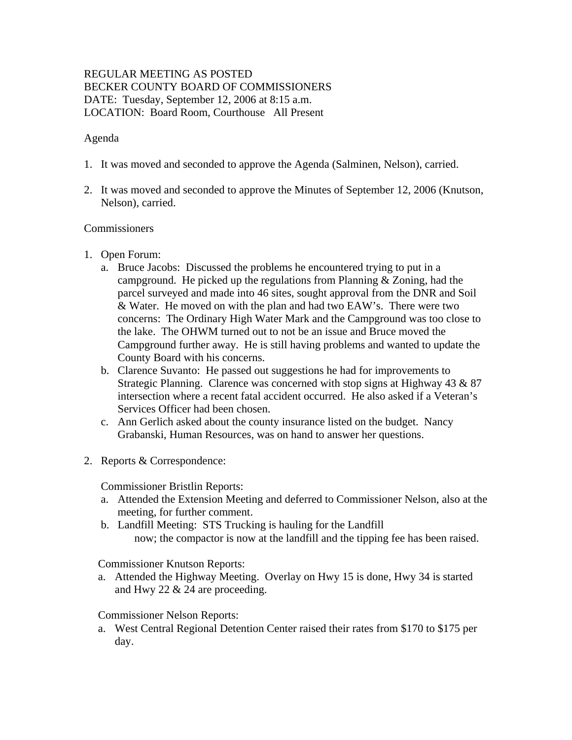# REGULAR MEETING AS POSTED BECKER COUNTY BOARD OF COMMISSIONERS DATE: Tuesday, September 12, 2006 at 8:15 a.m. LOCATION: Board Room, Courthouse All Present

### Agenda

- 1. It was moved and seconded to approve the Agenda (Salminen, Nelson), carried.
- 2. It was moved and seconded to approve the Minutes of September 12, 2006 (Knutson, Nelson), carried.

#### Commissioners

- 1. Open Forum:
	- a. Bruce Jacobs: Discussed the problems he encountered trying to put in a campground. He picked up the regulations from Planning & Zoning, had the parcel surveyed and made into 46 sites, sought approval from the DNR and Soil & Water. He moved on with the plan and had two EAW's. There were two concerns: The Ordinary High Water Mark and the Campground was too close to the lake. The OHWM turned out to not be an issue and Bruce moved the Campground further away. He is still having problems and wanted to update the County Board with his concerns.
	- b. Clarence Suvanto: He passed out suggestions he had for improvements to Strategic Planning. Clarence was concerned with stop signs at Highway 43 & 87 intersection where a recent fatal accident occurred. He also asked if a Veteran's Services Officer had been chosen.
	- c. Ann Gerlich asked about the county insurance listed on the budget. Nancy Grabanski, Human Resources, was on hand to answer her questions.
- 2. Reports & Correspondence:

Commissioner Bristlin Reports:

- a. Attended the Extension Meeting and deferred to Commissioner Nelson, also at the meeting, for further comment.
- b. Landfill Meeting: STS Trucking is hauling for the Landfill now; the compactor is now at the landfill and the tipping fee has been raised.

Commissioner Knutson Reports:

a. Attended the Highway Meeting. Overlay on Hwy 15 is done, Hwy 34 is started and Hwy 22 & 24 are proceeding.

#### Commissioner Nelson Reports:

a. West Central Regional Detention Center raised their rates from \$170 to \$175 per day.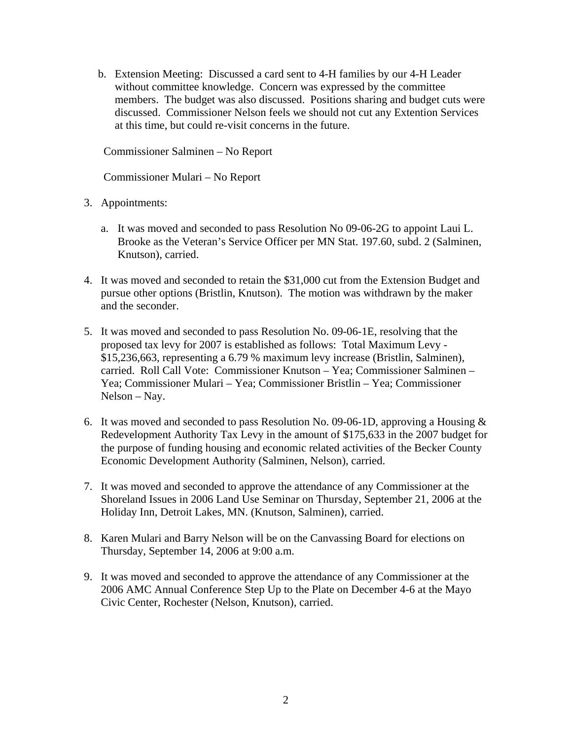b. Extension Meeting: Discussed a card sent to 4-H families by our 4-H Leader without committee knowledge. Concern was expressed by the committee members. The budget was also discussed. Positions sharing and budget cuts were discussed. Commissioner Nelson feels we should not cut any Extention Services at this time, but could re-visit concerns in the future.

Commissioner Salminen – No Report

Commissioner Mulari – No Report

- 3. Appointments:
	- a. It was moved and seconded to pass Resolution No 09-06-2G to appoint Laui L. Brooke as the Veteran's Service Officer per MN Stat. 197.60, subd. 2 (Salminen, Knutson), carried.
- 4. It was moved and seconded to retain the \$31,000 cut from the Extension Budget and pursue other options (Bristlin, Knutson). The motion was withdrawn by the maker and the seconder.
- 5. It was moved and seconded to pass Resolution No. 09-06-1E, resolving that the proposed tax levy for 2007 is established as follows: Total Maximum Levy - \$15,236,663, representing a 6.79 % maximum levy increase (Bristlin, Salminen), carried. Roll Call Vote: Commissioner Knutson – Yea; Commissioner Salminen – Yea; Commissioner Mulari – Yea; Commissioner Bristlin – Yea; Commissioner Nelson – Nay.
- 6. It was moved and seconded to pass Resolution No. 09-06-1D, approving a Housing & Redevelopment Authority Tax Levy in the amount of \$175,633 in the 2007 budget for the purpose of funding housing and economic related activities of the Becker County Economic Development Authority (Salminen, Nelson), carried.
- 7. It was moved and seconded to approve the attendance of any Commissioner at the Shoreland Issues in 2006 Land Use Seminar on Thursday, September 21, 2006 at the Holiday Inn, Detroit Lakes, MN. (Knutson, Salminen), carried.
- 8. Karen Mulari and Barry Nelson will be on the Canvassing Board for elections on Thursday, September 14, 2006 at 9:00 a.m.
- 9. It was moved and seconded to approve the attendance of any Commissioner at the 2006 AMC Annual Conference Step Up to the Plate on December 4-6 at the Mayo Civic Center, Rochester (Nelson, Knutson), carried.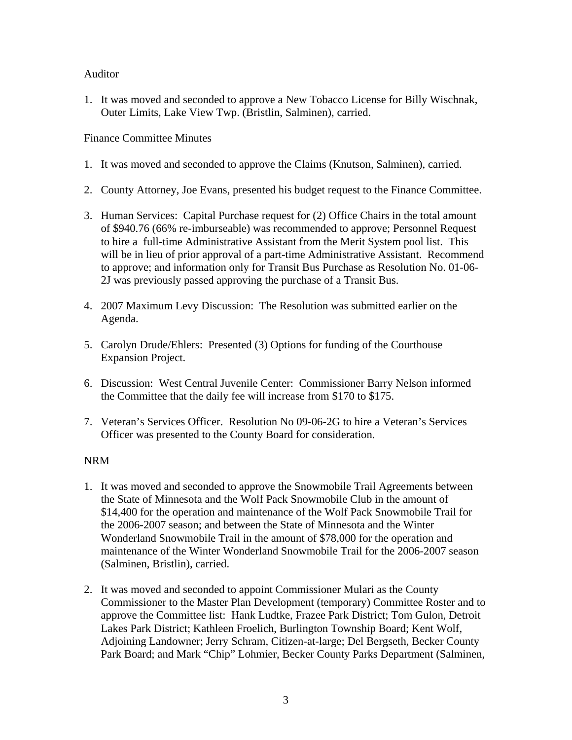## Auditor

1. It was moved and seconded to approve a New Tobacco License for Billy Wischnak, Outer Limits, Lake View Twp. (Bristlin, Salminen), carried.

Finance Committee Minutes

- 1. It was moved and seconded to approve the Claims (Knutson, Salminen), carried.
- 2. County Attorney, Joe Evans, presented his budget request to the Finance Committee.
- 3. Human Services: Capital Purchase request for (2) Office Chairs in the total amount of \$940.76 (66% re-imburseable) was recommended to approve; Personnel Request to hire a full-time Administrative Assistant from the Merit System pool list. This will be in lieu of prior approval of a part-time Administrative Assistant. Recommend to approve; and information only for Transit Bus Purchase as Resolution No. 01-06- 2J was previously passed approving the purchase of a Transit Bus.
- 4. 2007 Maximum Levy Discussion: The Resolution was submitted earlier on the Agenda.
- 5. Carolyn Drude/Ehlers: Presented (3) Options for funding of the Courthouse Expansion Project.
- 6. Discussion: West Central Juvenile Center: Commissioner Barry Nelson informed the Committee that the daily fee will increase from \$170 to \$175.
- 7. Veteran's Services Officer. Resolution No 09-06-2G to hire a Veteran's Services Officer was presented to the County Board for consideration.

# NRM

- 1. It was moved and seconded to approve the Snowmobile Trail Agreements between the State of Minnesota and the Wolf Pack Snowmobile Club in the amount of \$14,400 for the operation and maintenance of the Wolf Pack Snowmobile Trail for the 2006-2007 season; and between the State of Minnesota and the Winter Wonderland Snowmobile Trail in the amount of \$78,000 for the operation and maintenance of the Winter Wonderland Snowmobile Trail for the 2006-2007 season (Salminen, Bristlin), carried.
- 2. It was moved and seconded to appoint Commissioner Mulari as the County Commissioner to the Master Plan Development (temporary) Committee Roster and to approve the Committee list: Hank Ludtke, Frazee Park District; Tom Gulon, Detroit Lakes Park District; Kathleen Froelich, Burlington Township Board; Kent Wolf, Adjoining Landowner; Jerry Schram, Citizen-at-large; Del Bergseth, Becker County Park Board; and Mark "Chip" Lohmier, Becker County Parks Department (Salminen,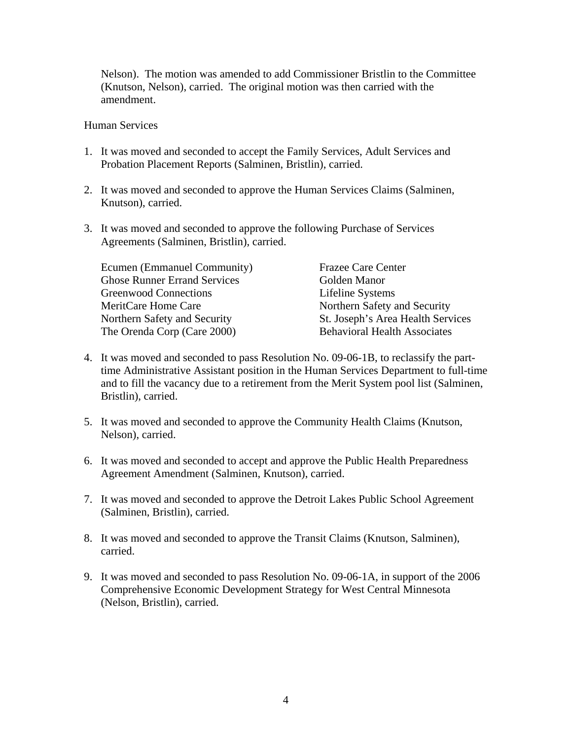Nelson). The motion was amended to add Commissioner Bristlin to the Committee (Knutson, Nelson), carried. The original motion was then carried with the amendment.

#### Human Services

- 1. It was moved and seconded to accept the Family Services, Adult Services and Probation Placement Reports (Salminen, Bristlin), carried.
- 2. It was moved and seconded to approve the Human Services Claims (Salminen, Knutson), carried.
- 3. It was moved and seconded to approve the following Purchase of Services Agreements (Salminen, Bristlin), carried.

| Ecumen (Emmanuel Community)         | <b>Frazee Care Center</b>           |
|-------------------------------------|-------------------------------------|
| <b>Ghose Runner Errand Services</b> | Golden Manor                        |
| <b>Greenwood Connections</b>        | Lifeline Systems                    |
| MeritCare Home Care                 | Northern Safety and Security        |
| Northern Safety and Security        | St. Joseph's Area Health Services   |
| The Orenda Corp (Care 2000)         | <b>Behavioral Health Associates</b> |

- 4. It was moved and seconded to pass Resolution No. 09-06-1B, to reclassify the parttime Administrative Assistant position in the Human Services Department to full-time and to fill the vacancy due to a retirement from the Merit System pool list (Salminen, Bristlin), carried.
- 5. It was moved and seconded to approve the Community Health Claims (Knutson, Nelson), carried.
- 6. It was moved and seconded to accept and approve the Public Health Preparedness Agreement Amendment (Salminen, Knutson), carried.
- 7. It was moved and seconded to approve the Detroit Lakes Public School Agreement (Salminen, Bristlin), carried.
- 8. It was moved and seconded to approve the Transit Claims (Knutson, Salminen), carried.
- 9. It was moved and seconded to pass Resolution No. 09-06-1A, in support of the 2006 Comprehensive Economic Development Strategy for West Central Minnesota (Nelson, Bristlin), carried.